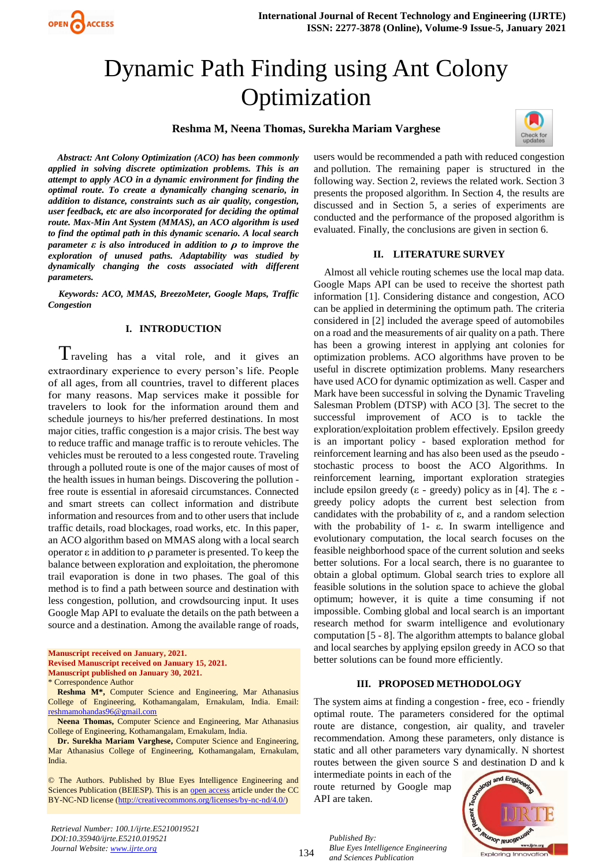

# Dynamic Path Finding using Ant Colony Optimization

#### **Reshma M, Neena Thomas, Surekha Mariam Varghese**



*Abstract: Ant Colony Optimization (ACO) has been commonly applied in solving discrete optimization problems. This is an attempt to apply ACO in a dynamic environment for finding the optimal route. To create a dynamically changing scenario, in addition to distance, constraints such as air quality, congestion, user feedback, etc are also incorporated for deciding the optimal route. Max-Min Ant System (MMAS), an ACO algorithm is used to find the optimal path in this dynamic scenario. A local search parameter ε is also introduced in addition to ρ to improve the exploration of unused paths. Adaptability was studied by dynamically changing the costs associated with different parameters.*

*Keywords: ACO, MMAS, BreezoMeter, Google Maps, Traffic Congestion*

#### **I. INTRODUCTION**

Traveling has a vital role, and it gives an extraordinary experience to every person's life. People of all ages, from all countries, travel to different places for many reasons. Map services make it possible for travelers to look for the information around them and schedule journeys to his/her preferred destinations. In most major cities, traffic congestion is a major crisis. The best way to reduce traffic and manage traffic is to reroute vehicles. The vehicles must be rerouted to a less congested route. Traveling through a polluted route is one of the major causes of most of the health issues in human beings. Discovering the pollution free route is essential in aforesaid circumstances. Connected and smart streets can collect information and distribute information and resources from and to other users that include traffic details, road blockages, road works, etc. In this paper, an ACO algorithm based on MMAS along with a local search operator ε in addition to ρ parameter is presented. To keep the balance between exploration and exploitation, the pheromone trail evaporation is done in two phases. The goal of this method is to find a path between source and destination with less congestion, pollution, and crowdsourcing input. It uses Google Map API to evaluate the details on the path between a source and a destination. Among the available range of roads,

**Manuscript received on January, 2021.**

**Revised Manuscript received on January 15, 2021.**

**Manuscript published on January 30, 2021.**

\* Correspondence Author

**Reshma M\*,** Computer Science and Engineering, Mar Athanasius College of Engineering, Kothamangalam, Ernakulam, India. Email: [reshmamohandas96@gmail.com](mailto:reshmamohandas96@gmail.com)

**Neena Thomas,** Computer Science and Engineering, Mar Athanasius College of Engineering, Kothamangalam, Ernakulam, India.

**Dr. Surekha Mariam Varghese,** Computer Science and Engineering, Mar Athanasius College of Engineering, Kothamangalam, Ernakulam, India.

© The Authors. Published by Blue Eyes Intelligence Engineering and Sciences Publication (BEIESP). This is an [open access](https://www.openaccess.nl/en/open-publications) article under the CC BY-NC-ND license [\(http://creativecommons.org/licenses/by-nc-nd/4.0/\)](http://creativecommons.org/licenses/by-nc-nd/4.0/)

users would be recommended a path with reduced congestion and pollution. The remaining paper is structured in the following way. Section 2, reviews the related work. Section 3 presents the proposed algorithm. In Section 4, the results are discussed and in Section 5, a series of experiments are conducted and the performance of the proposed algorithm is evaluated. Finally, the conclusions are given in section 6.

### **II. LITERATURE SURVEY**

Almost all vehicle routing schemes use the local map data. Google Maps API can be used to receive the shortest path information [1]. Considering distance and congestion, ACO can be applied in determining the optimum path. The criteria considered in [2] included the average speed of automobiles on a road and the measurements of air quality on a path. There has been a growing interest in applying ant colonies for optimization problems. ACO algorithms have proven to be useful in discrete optimization problems. Many researchers have used ACO for dynamic optimization as well. Casper and Mark have been successful in solving the Dynamic Traveling Salesman Problem (DTSP) with ACO [3]. The secret to the successful improvement of ACO is to tackle the exploration/exploitation problem effectively. Epsilon greedy is an important policy - based exploration method for reinforcement learning and has also been used as the pseudo stochastic process to boost the ACO Algorithms. In reinforcement learning, important exploration strategies include epsilon greedy (ε - greedy) policy as in [4]. The ε greedy policy adopts the current best selection from candidates with the probability of ε, and a random selection with the probability of 1- ε. In swarm intelligence and evolutionary computation, the local search focuses on the feasible neighborhood space of the current solution and seeks better solutions. For a local search, there is no guarantee to obtain a global optimum. Global search tries to explore all feasible solutions in the solution space to achieve the global optimum; however, it is quite a time consuming if not impossible. Combing global and local search is an important research method for swarm intelligence and evolutionary computation [5 - 8]. The algorithm attempts to balance global and local searches by applying epsilon greedy in ACO so that better solutions can be found more efficiently.

#### **III. PROPOSED METHODOLOGY**

The system aims at finding a congestion - free, eco - friendly optimal route. The parameters considered for the optimal route are distance, congestion, air quality, and traveler recommendation. Among these parameters, only distance is static and all other parameters vary dynamically. N shortest routes between the given source S and destination D and k

intermediate points in each of the route returned by Google map API are taken.



*Retrieval Number: 100.1/ijrte.E5210019521 DOI:10.35940/ijrte.E5210.019521 Journal Website: www.ijrte.org*

134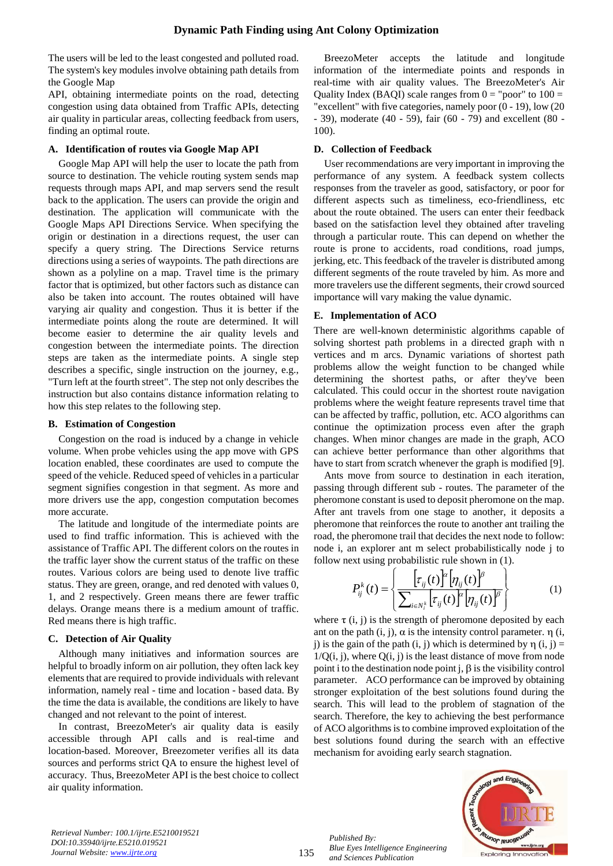The users will be led to the least congested and polluted road. The system's key modules involve obtaining path details from the Google Map

API, obtaining intermediate points on the road, detecting congestion using data obtained from Traffic APIs, detecting air quality in particular areas, collecting feedback from users, finding an optimal route.

## **A. Identification of routes via Google Map API**

Google Map API will help the user to locate the path from source to destination. The vehicle routing system sends map requests through maps API, and map servers send the result back to the application. The users can provide the origin and destination. The application will communicate with the Google Maps API Directions Service. When specifying the origin or destination in a directions request, the user can specify a query string. The Directions Service returns directions using a series of waypoints. The path directions are shown as a polyline on a map. Travel time is the primary factor that is optimized, but other factors such as distance can also be taken into account. The routes obtained will have varying air quality and congestion. Thus it is better if the intermediate points along the route are determined. It will become easier to determine the air quality levels and congestion between the intermediate points. The direction steps are taken as the intermediate points. A single step describes a specific, single instruction on the journey, e.g., "Turn left at the fourth street". The step not only describes the instruction but also contains distance information relating to how this step relates to the following step.

### **B. Estimation of Congestion**

Congestion on the road is induced by a change in vehicle volume. When probe vehicles using the app move with GPS location enabled, these coordinates are used to compute the speed of the vehicle. Reduced speed of vehicles in a particular segment signifies congestion in that segment. As more and more drivers use the app, congestion computation becomes more accurate.

The latitude and longitude of the intermediate points are used to find traffic information. This is achieved with the assistance of Traffic API. The different colors on the routes in the traffic layer show the current status of the traffic on these routes. Various colors are being used to denote live traffic status. They are green, orange, and red denoted with values 0, 1, and 2 respectively. Green means there are fewer traffic delays. Orange means there is a medium amount of traffic. Red means there is high traffic.

# **C. Detection of Air Quality**

Although many initiatives and information sources are helpful to broadly inform on air pollution, they often lack key elements that are required to provide individuals with relevant information, namely real - time and location - based data. By the time the data is available, the conditions are likely to have changed and not relevant to the point of interest.

In contrast, BreezoMeter's air quality data is easily accessible through API calls and is real-time and location-based. Moreover, Breezometer verifies all its data sources and performs strict QA to ensure the highest level of accuracy. Thus, BreezoMeter API is the best choice to collect air quality information.

BreezoMeter accepts the latitude and longitude information of the intermediate points and responds in real-time with air quality values. The BreezoMeter's Air Quality Index (BAQI) scale ranges from  $0 =$  "poor" to  $100 =$ "excellent" with five categories, namely poor (0 - 19), low (20 - 39), moderate (40 - 59), fair (60 - 79) and excellent (80 - 100).

# **D. Collection of Feedback**

User recommendations are very important in improving the performance of any system. A feedback system collects responses from the traveler as good, satisfactory, or poor for different aspects such as timeliness, eco-friendliness, etc about the route obtained. The users can enter their feedback based on the satisfaction level they obtained after traveling through a particular route. This can depend on whether the route is prone to accidents, road conditions, road jumps, jerking, etc. This feedback of the traveler is distributed among different segments of the route traveled by him. As more and more travelers use the different segments, their crowd sourced importance will vary making the value dynamic.

# **E. Implementation of ACO**

There are well-known deterministic algorithms capable of solving shortest path problems in a directed graph with n vertices and m arcs. Dynamic variations of shortest path problems allow the weight function to be changed while determining the shortest paths, or after they've been calculated. This could occur in the shortest route navigation problems where the weight feature represents travel time that can be affected by traffic, pollution, etc. ACO algorithms can continue the optimization process even after the graph changes. When minor changes are made in the graph, ACO can achieve better performance than other algorithms that have to start from scratch whenever the graph is modified [9].

Ants move from source to destination in each iteration, passing through different sub - routes. The parameter of the pheromone constant is used to deposit pheromone on the map. After ant travels from one stage to another, it deposits a pheromone that reinforces the route to another ant trailing the road, the pheromone trail that decides the next node to follow: node i, an explorer ant m select probabilistically node j to follow next using probabilistic rule shown in (1).

$$
P_{ij}^{k}(t) = \left\{ \frac{\left[\tau_{ij}(t)\right]^{k}\left[\eta_{ij}(t)\right]^{k}}{\sum_{i \in N_{i}^{k}}\left[\tau_{ij}(t)\right]^{k}\left[\eta_{ij}(t)\right]^{k}} \right\}
$$
(1)

where  $\tau$  (i, j) is the strength of pheromone deposited by each ant on the path (i, j),  $\alpha$  is the intensity control parameter.  $\eta$  (i, j) is the gain of the path (i, j) which is determined by  $\eta$  (i, j) =  $1/Q(i, j)$ , where  $Q(i, j)$  is the least distance of move from node point i to the destination node point j,  $β$  is the visibility control parameter. ACO performance can be improved by obtaining stronger exploitation of the best solutions found during the search. This will lead to the problem of stagnation of the search. Therefore, the key to achieving the best performance of ACO algorithms is to combine improved exploitation of the best solutions found during the search with an effective mechanism for avoiding early search stagnation.

*Retrieval Number: 100.1/ijrte.E5210019521 DOI:10.35940/ijrte.E5210.019521 Journal Website: www.ijrte.org*

135

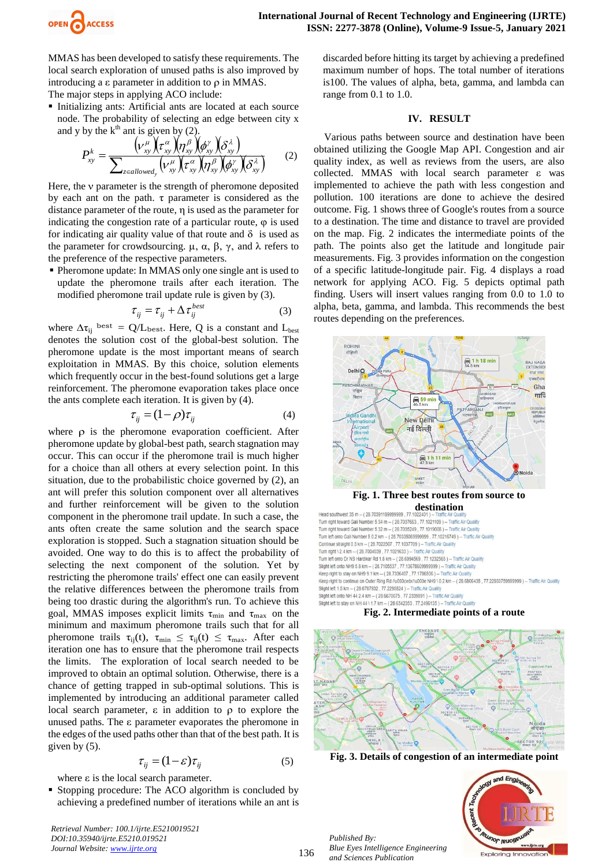

MMAS has been developed to satisfy these requirements. The local search exploration of unused paths is also improved by introducing a  $\varepsilon$  parameter in addition to  $\rho$  in MMAS. The major steps in applying ACO include:

 Initializing ants: Artificial ants are located at each source node. The probability of selecting an edge between city x and y by the  $k^{\text{th}}$  ant is given by (2).

$$
P_{xy}^k = \frac{(\nu_{xy}^{\mu})(\tau_{xy}^{\alpha})(\eta_{xy}^{\beta})(\delta_{xy}^{\gamma})(\delta_{xy}^{\alpha})}{\sum_{z \in allowed_y}(\nu_{xy}^{\mu})(\tau_{xy}^{\alpha})(\eta_{xy}^{\beta})(\delta_{xy}^{\gamma})(\delta_{xy}^{\gamma})}
$$
 (2)

Here, the *v* parameter is the strength of pheromone deposited by each ant on the path.  $\tau$  parameter is considered as the distance parameter of the route, η is used as the parameter for indicating the congestion rate of a particular route,  $\varphi$  is used for indicating air quality value of that route and  $\delta$  is used as the parameter for crowdsourcing.  $\mu$ ,  $\alpha$ ,  $\beta$ ,  $\gamma$ , and λ refers to the preference of the respective parameters.

 Pheromone update: In MMAS only one single ant is used to update the pheromone trails after each iteration. The modified pheromone trail update rule is given by (3).

$$
\tau_{ij} = \tau_{ij} + \Delta \tau_{ij}^{best} \tag{3}
$$

where  $\Delta \tau_{ii}$  best = Q/L<sub>best</sub>. Here, Q is a constant and L<sub>best</sub> denotes the solution cost of the global-best solution. The pheromone update is the most important means of search exploitation in MMAS. By this choice, solution elements which frequently occur in the best-found solutions get a large reinforcement. The pheromone evaporation takes place once the ants complete each iteration. It is given by (4).

$$
\tau_{ij} = (1 - \rho)\tau_{ij} \tag{4}
$$

where  $\rho$  is the pheromone evaporation coefficient. After pheromone update by global-best path, search stagnation may occur. This can occur if the pheromone trail is much higher for a choice than all others at every selection point. In this situation, due to the probabilistic choice governed by (2), an ant will prefer this solution component over all alternatives and further reinforcement will be given to the solution component in the pheromone trail update. In such a case, the ants often create the same solution and the search space exploration is stopped. Such a stagnation situation should be avoided. One way to do this is to affect the probability of selecting the next component of the solution. Yet by restricting the pheromone trails' effect one can easily prevent the relative differences between the pheromone trails from being too drastic during the algorithm's run. To achieve this goal, MMAS imposes explicit limits  $\tau_{\min}$  and  $\tau_{\max}$  on the minimum and maximum pheromone trails such that for all pheromone trails  $\tau_{ij}(t)$ ,  $\tau_{min} \leq \tau_{ij}(t) \leq \tau_{max}$ . After each iteration one has to ensure that the pheromone trail respects the limits. The exploration of local search needed to be improved to obtain an optimal solution. Otherwise, there is a chance of getting trapped in sub-optimal solutions. This is implemented by introducing an additional parameter called local search parameter, ε in addition to ρ to explore the unused paths. The ε parameter evaporates the pheromone in the edges of the used paths other than that of the best path. It is given by (5).

$$
\tau_{ij} = (1 - \varepsilon)\tau_{ij} \tag{5}
$$

where  $\varepsilon$  is the local search parameter.

 Stopping procedure: The ACO algorithm is concluded by achieving a predefined number of iterations while an ant is

*Retrieval Number: 100.1/ijrte.E5210019521 DOI:10.35940/ijrte.E5210.019521 Journal Website: www.ijrte.org*

discarded before hitting its target by achieving a predefined maximum number of hops. The total number of iterations is100. The values of alpha, beta, gamma, and lambda can range from 0.1 to 1.0.

#### **IV. RESULT**

Various paths between source and destination have been obtained utilizing the Google Map API. Congestion and air quality index, as well as reviews from the users, are also collected. MMAS with local search parameter ε was implemented to achieve the path with less congestion and pollution. 100 iterations are done to achieve the desired outcome. Fig. 1 shows three of Google's routes from a source to a destination. The time and distance to travel are provided on the map. Fig. 2 indicates the intermediate points of the path. The points also get the latitude and longitude pair measurements. Fig. 3 provides information on the congestion of a specific latitude-longitude pair. Fig. 4 displays a road network for applying ACO. Fig. 5 depicts optimal path finding. Users will insert values ranging from 0.0 to 1.0 to alpha, beta, gamma, and lambda. This recommends the best routes depending on the preferences.



Turn left onto Gali Number 5 0.2 km -- (28.70335069999999. 77.10216749) -- Traffic Air Quality Continue straight 0.3 km - (28.7022507 . 77.1037709 ) - Traffic Air Quality Turn right \ 2.4 km -- (28.7004039, 77.1021633) -- Traffic Air Qua Turn left onto Dr NS Hardikar Rd 1.8 km - (28.6994569 . 77.1232565) - Traffic Air Quality Slight left onto NH9 5.8 km - (28.7105537, 77.136786099999999) -- Traffic Air Quality Keep right to stay on NH9 9.1 km -- (28.7336407 , 77.1786506 ) -- Traffic Air Quality<br>Keep right to continue on Outer Ring Rd /u003cwbr/u003e NH9 \ 0.2 km -- (28.6806435 , 77.22933759999999 ) -- Traffic Air Quality Slight left 1.5 km - (28.6787932, 77.2295824) -- Traffic Air Quality Slight left onto NH 44 2.4 km -- (28.6670075, 77.2339891) -- Traffic Air Quality Slight left to stay on NH 44 \ 1.7 km -- (28.6542353, 77.2496135) -- Traffic Air Quality

#### **Fig. 2. Intermediate points of a route**



**Fig. 3. Details of congestion of an intermediate point**

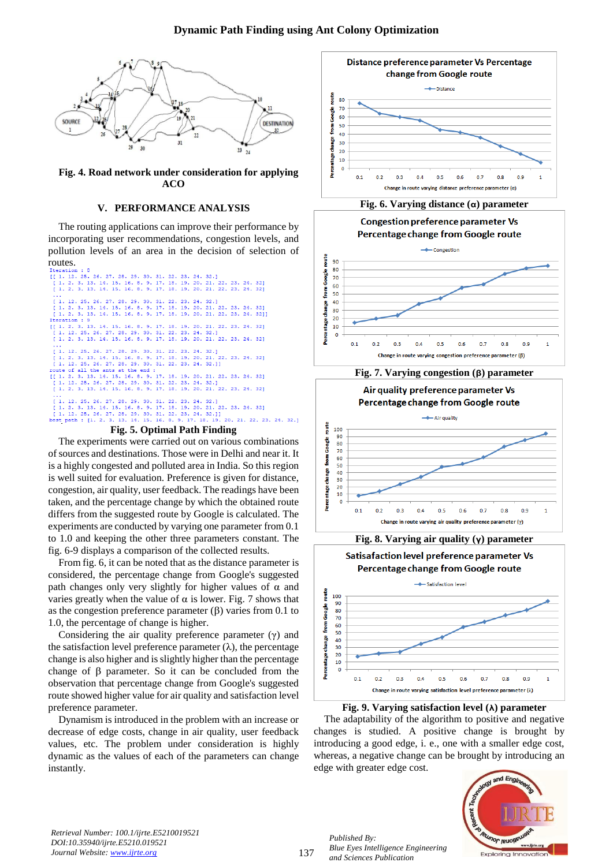

**Fig. 4. Road network under consideration for applying ACO**

### **V. PERFORMANCE ANALYSIS**

The routing applications can improve their performance by incorporating user recommendations, congestion levels, and pollution levels of an area in the decision of selection of routes.



The experiments were carried out on various combinations of sources and destinations. Those were in Delhi and near it. It is a highly congested and polluted area in India. So this region is well suited for evaluation. Preference is given for distance, congestion, air quality, user feedback. The readings have been taken, and the percentage change by which the obtained route differs from the suggested route by Google is calculated. The experiments are conducted by varying one parameter from 0.1 to 1.0 and keeping the other three parameters constant. The fig. 6-9 displays a comparison of the collected results.

From fig. 6, it can be noted that as the distance parameter is considered, the percentage change from Google's suggested path changes only very slightly for higher values of  $\alpha$  and varies greatly when the value of  $\alpha$  is lower. Fig. 7 shows that as the congestion preference parameter (β) varies from 0.1 to 1.0, the percentage of change is higher.

Considering the air quality preference parameter  $(γ)$  and the satisfaction level preference parameter  $(\lambda)$ , the percentage change is also higher and is slightly higher than the percentage change of β parameter. So it can be concluded from the observation that percentage change from Google's suggested route showed higher value for air quality and satisfaction level preference parameter.

Dynamism is introduced in the problem with an increase or decrease of edge costs, change in air quality, user feedback values, etc. The problem under consideration is highly dynamic as the values of each of the parameters can change instantly.



#### **Fig. 6. Varying distance (α) parameter**





**Fig. 8. Varying air quality (γ) parameter** Satisafaction level preference parameter Vs



**Fig. 9. Varying satisfaction level (λ) parameter**

The adaptability of the algorithm to positive and negative changes is studied. A positive change is brought by introducing a good edge, i. e., one with a smaller edge cost, whereas, a negative change can be brought by introducing an edge with greater edge cost.



*Retrieval Number: 100.1/ijrte.E5210019521 DOI:10.35940/ijrte.E5210.019521 Journal Website: www.ijrte.org*

137